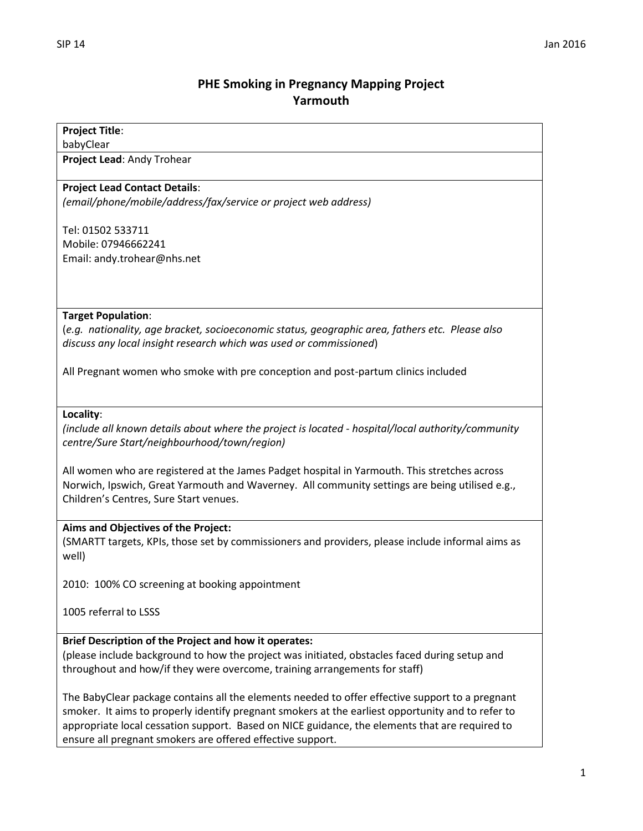# **PHE Smoking in Pregnancy Mapping Project Yarmouth**

## **Project Title**:

babyClear

**Project Lead**: Andy Trohear

#### **Project Lead Contact Details**:

*(email/phone/mobile/address/fax/service or project web address)*

Tel: 01502 533711 Mobile: 07946662241 Email: andy.trohear@nhs.net

#### **Target Population**:

(*e.g. nationality, age bracket, socioeconomic status, geographic area, fathers etc. Please also discuss any local insight research which was used or commissioned*)

All Pregnant women who smoke with pre conception and post-partum clinics included

**Locality**:

*(include all known details about where the project is located - hospital/local authority/community centre/Sure Start/neighbourhood/town/region)*

All women who are registered at the James Padget hospital in Yarmouth. This stretches across Norwich, Ipswich, Great Yarmouth and Waverney. All community settings are being utilised e.g., Children's Centres, Sure Start venues.

#### **Aims and Objectives of the Project:**

(SMARTT targets, KPIs, those set by commissioners and providers, please include informal aims as well)

2010: 100% CO screening at booking appointment

1005 referral to LSSS

## **Brief Description of the Project and how it operates:**

(please include background to how the project was initiated, obstacles faced during setup and throughout and how/if they were overcome, training arrangements for staff)

The BabyClear package contains all the elements needed to offer effective support to a pregnant smoker. It aims to properly identify pregnant smokers at the earliest opportunity and to refer to appropriate local cessation support. Based on NICE guidance, the elements that are required to ensure all pregnant smokers are offered effective support.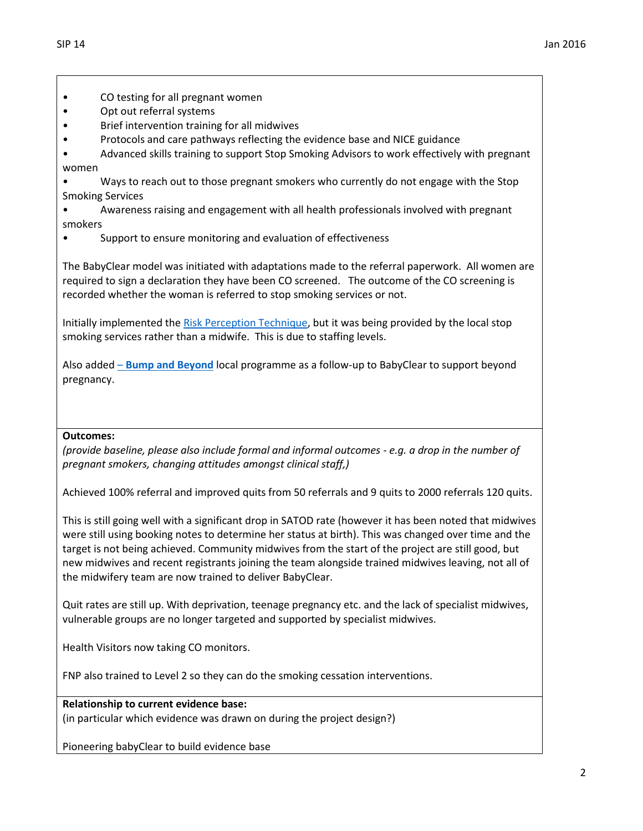- CO testing for all pregnant women
- Opt out referral systems
- Brief intervention training for all midwives
- Protocols and care pathways reflecting the evidence base and NICE guidance
- Advanced skills training to support Stop Smoking Advisors to work effectively with pregnant women

• Ways to reach out to those pregnant smokers who currently do not engage with the Stop Smoking Services

- Awareness raising and engagement with all health professionals involved with pregnant smokers
- Support to ensure monitoring and evaluation of effectiveness

The BabyClear model was initiated with adaptations made to the referral paperwork. All women are required to sign a declaration they have been CO screened. The outcome of the CO screening is recorded whether the woman is referred to stop smoking services or not.

Initially implemented th[e Risk Perception Technique,](http://www.magonlinelibrary.com/doi/abs/10.12968/bjom.2012.20.4.236?journalCode=bjom) but it was being provided by the local stop smoking services rather than a midwife. This is due to staffing levels.

Also added – **[Bump and Beyond](http://www.priorycentre.co.uk/assets/children-centres-services/pdfs/bump-and-beyond-cafe.pdf)** local programme as a follow-up to BabyClear to support beyond pregnancy.

#### **Outcomes:**

*(provide baseline, please also include formal and informal outcomes - e.g. a drop in the number of pregnant smokers, changing attitudes amongst clinical staff,)*

Achieved 100% referral and improved quits from 50 referrals and 9 quits to 2000 referrals 120 quits.

This is still going well with a significant drop in SATOD rate (however it has been noted that midwives were still using booking notes to determine her status at birth). This was changed over time and the target is not being achieved. Community midwives from the start of the project are still good, but new midwives and recent registrants joining the team alongside trained midwives leaving, not all of the midwifery team are now trained to deliver BabyClear.

Quit rates are still up. With deprivation, teenage pregnancy etc. and the lack of specialist midwives, vulnerable groups are no longer targeted and supported by specialist midwives.

Health Visitors now taking CO monitors.

FNP also trained to Level 2 so they can do the smoking cessation interventions.

## **Relationship to current evidence base:**

(in particular which evidence was drawn on during the project design?)

Pioneering babyClear to build evidence base